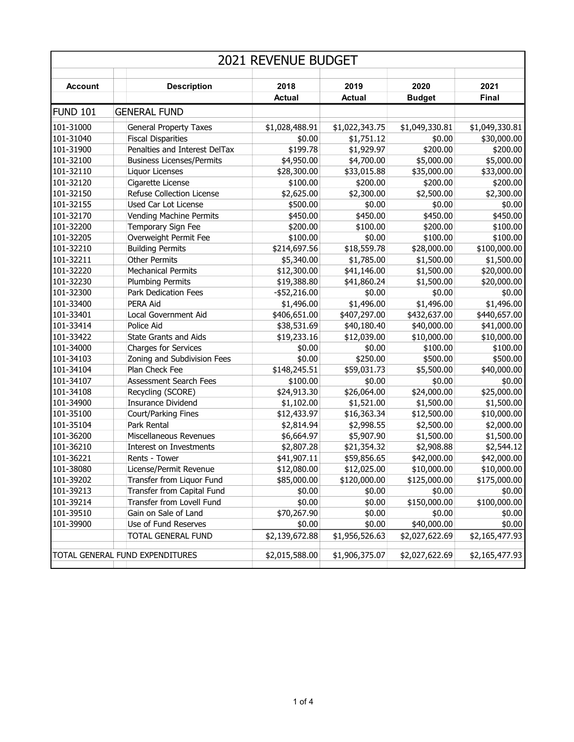| <b>2021 REVENUE BUDGET</b>      |                                  |                 |                |                |                |  |
|---------------------------------|----------------------------------|-----------------|----------------|----------------|----------------|--|
| <b>Account</b>                  | <b>Description</b>               | 2018            | 2019           | 2020           | 2021           |  |
|                                 |                                  | <b>Actual</b>   | <b>Actual</b>  | <b>Budget</b>  | Final          |  |
| FUND 101                        | <b>GENERAL FUND</b>              |                 |                |                |                |  |
| 101-31000                       | <b>General Property Taxes</b>    | \$1,028,488.91  | \$1,022,343.75 | \$1,049,330.81 | \$1,049,330.81 |  |
| 101-31040                       | <b>Fiscal Disparities</b>        | \$0.00          | \$1,751.12     | \$0.00         | \$30,000.00    |  |
| 101-31900                       | Penalties and Interest DelTax    | \$199.78        | \$1,929.97     | \$200.00       | \$200.00       |  |
| 101-32100                       | <b>Business Licenses/Permits</b> | \$4,950.00      | \$4,700.00     | \$5,000.00     | \$5,000.00     |  |
| 101-32110                       | Liquor Licenses                  | \$28,300.00     | \$33,015.88    | \$35,000.00    | \$33,000.00    |  |
| 101-32120                       | Cigarette License                | \$100.00        | \$200.00       | \$200.00       | \$200.00       |  |
| 101-32150                       | Refuse Collection License        | \$2,625.00      | \$2,300.00     | \$2,500.00     | \$2,300.00     |  |
| 101-32155                       | Used Car Lot License             | \$500.00        | \$0.00         | \$0.00         | \$0.00         |  |
|                                 |                                  |                 |                |                |                |  |
| 101-32170                       | <b>Vending Machine Permits</b>   | \$450.00        | \$450.00       | \$450.00       | \$450.00       |  |
| 101-32200                       | Temporary Sign Fee               | \$200.00        | \$100.00       | \$200.00       | \$100.00       |  |
| 101-32205                       | Overweight Permit Fee            | \$100.00        | \$0.00         | \$100.00       | \$100.00       |  |
| 101-32210                       | <b>Building Permits</b>          | \$214,697.56    | \$18,559.78    | \$28,000.00    | \$100,000.00   |  |
| 101-32211                       | <b>Other Permits</b>             | \$5,340.00      | \$1,785.00     | \$1,500.00     | \$1,500.00     |  |
| 101-32220                       | <b>Mechanical Permits</b>        | \$12,300.00     | \$41,146.00    | \$1,500.00     | \$20,000.00    |  |
| 101-32230                       | <b>Plumbing Permits</b>          | \$19,388.80     | \$41,860.24    | \$1,500.00     | \$20,000.00    |  |
| 101-32300                       | Park Dedication Fees             | $-$ \$52,216.00 | \$0.00         | \$0.00         | \$0.00         |  |
| 101-33400                       | PERA Aid                         | \$1,496.00      | \$1,496.00     | \$1,496.00     | \$1,496.00     |  |
| 101-33401                       | Local Government Aid             | \$406,651.00    | \$407,297.00   | \$432,637.00   | \$440,657.00   |  |
| 101-33414                       | Police Aid                       | \$38,531.69     | \$40,180.40    | \$40,000.00    | \$41,000.00    |  |
| 101-33422                       | <b>State Grants and Aids</b>     | \$19,233.16     | \$12,039.00    | \$10,000.00    | \$10,000.00    |  |
| 101-34000                       | <b>Charges for Services</b>      | \$0.00          | \$0.00         | \$100.00       | \$100.00       |  |
| 101-34103                       | Zoning and Subdivision Fees      | \$0.00          | \$250.00       | \$500.00       | \$500.00       |  |
| 101-34104                       | Plan Check Fee                   | \$148,245.51    | \$59,031.73    | \$5,500.00     | \$40,000.00    |  |
| 101-34107                       | Assessment Search Fees           | \$100.00        | \$0.00         | \$0.00         | \$0.00         |  |
| 101-34108                       | Recycling (SCORE)                | \$24,913.30     | \$26,064.00    | \$24,000.00    | \$25,000.00    |  |
| 101-34900                       | <b>Insurance Dividend</b>        | \$1,102.00      | \$1,521.00     | \$1,500.00     | \$1,500.00     |  |
| 101-35100                       | Court/Parking Fines              | \$12,433.97     | \$16,363.34    | \$12,500.00    | \$10,000.00    |  |
| 101-35104                       | Park Rental                      | \$2,814.94      | \$2,998.55     | \$2,500.00     | \$2,000.00     |  |
| 101-36200                       | Miscellaneous Revenues           | \$6,664.97      | \$5,907.90     | \$1,500.00     | \$1,500.00     |  |
| 101-36210                       | Interest on Investments          | \$2,807.28      | \$21,354.32    | \$2,908.88     | \$2,544.12     |  |
| 101-36221                       | Rents - Tower                    | \$41,907.11     | \$59,856.65    | \$42,000.00    | \$42,000.00    |  |
| 101-38080                       | License/Permit Revenue           | \$12,080.00     | \$12,025.00    | \$10,000.00    | \$10,000.00    |  |
| 101-39202                       | Transfer from Liquor Fund        | \$85,000.00     | \$120,000.00   | \$125,000.00   | \$175,000.00   |  |
| 101-39213                       | Transfer from Capital Fund       | \$0.00          | \$0.00         | \$0.00         | \$0.00         |  |
| 101-39214                       | Transfer from Lovell Fund        | \$0.00          | \$0.00         | \$150,000.00   | \$100,000.00   |  |
| 101-39510                       | Gain on Sale of Land             | \$70,267.90     | \$0.00         | \$0.00         | \$0.00         |  |
| 101-39900                       | Use of Fund Reserves             | \$0.00          | \$0.00         | \$40,000.00    | \$0.00         |  |
|                                 | <b>TOTAL GENERAL FUND</b>        | \$2,139,672.88  | \$1,956,526.63 | \$2,027,622.69 | \$2,165,477.93 |  |
|                                 |                                  |                 |                |                |                |  |
| TOTAL GENERAL FUND EXPENDITURES |                                  | \$2,015,588.00  | \$1,906,375.07 | \$2,027,622.69 | \$2,165,477.93 |  |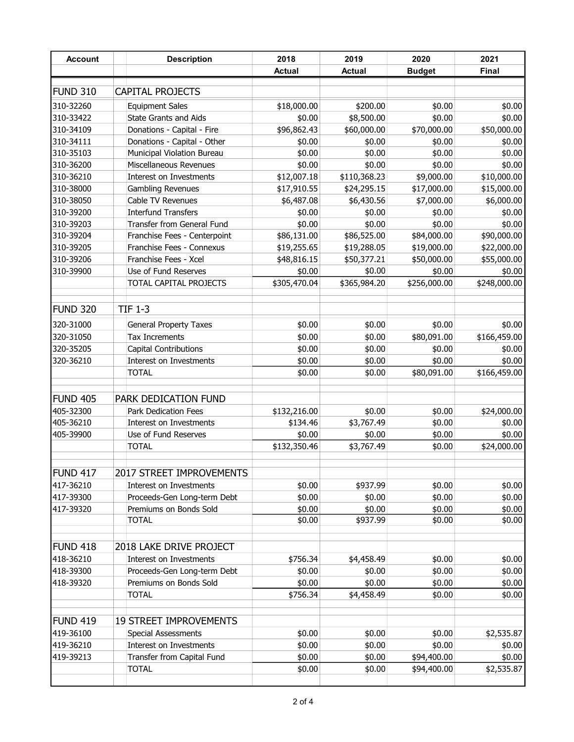| <b>Account</b>  | <b>Description</b>            | 2018          | 2019          | 2020          | 2021         |
|-----------------|-------------------------------|---------------|---------------|---------------|--------------|
|                 |                               | <b>Actual</b> | <b>Actual</b> | <b>Budget</b> | <b>Final</b> |
|                 |                               |               |               |               |              |
| FUND 310        | <b>CAPITAL PROJECTS</b>       |               |               |               |              |
| 310-32260       | <b>Equipment Sales</b>        | \$18,000.00   | \$200.00      | \$0.00        | \$0.00       |
| 310-33422       | <b>State Grants and Aids</b>  | \$0.00        | \$8,500.00    | \$0.00        | \$0.00       |
| 310-34109       | Donations - Capital - Fire    | \$96,862.43   | \$60,000.00   | \$70,000.00   | \$50,000.00  |
| 310-34111       | Donations - Capital - Other   | \$0.00        | \$0.00        | \$0.00        | \$0.00       |
| 310-35103       | Municipal Violation Bureau    | \$0.00        | \$0.00        | \$0.00        | \$0.00       |
| 310-36200       | Miscellaneous Revenues        | \$0.00        | \$0.00        | \$0.00        | \$0.00       |
| 310-36210       | Interest on Investments       | \$12,007.18   | \$110,368.23  | \$9,000.00    | \$10,000.00  |
| 310-38000       | Gambling Revenues             | \$17,910.55   | \$24,295.15   | \$17,000.00   | \$15,000.00  |
| 310-38050       | Cable TV Revenues             | \$6,487.08    | \$6,430.56    | \$7,000.00    | \$6,000.00   |
| 310-39200       | <b>Interfund Transfers</b>    | \$0.00        | \$0.00        | \$0.00        | \$0.00       |
| 310-39203       | Transfer from General Fund    | \$0.00        | \$0.00        | \$0.00        | \$0.00       |
| 310-39204       | Franchise Fees - Centerpoint  | \$86,131.00   | \$86,525.00   | \$84,000.00   | \$90,000.00  |
| 310-39205       | Franchise Fees - Connexus     | \$19,255.65   | \$19,288.05   | \$19,000.00   | \$22,000.00  |
| 310-39206       | Franchise Fees - Xcel         | \$48,816.15   | \$50,377.21   | \$50,000.00   | \$55,000.00  |
| 310-39900       | Use of Fund Reserves          | \$0.00        | \$0.00        | \$0.00        | \$0.00       |
|                 | TOTAL CAPITAL PROJECTS        | \$305,470.04  | \$365,984.20  | \$256,000.00  | \$248,000.00 |
|                 |                               |               |               |               |              |
| FUND 320        | <b>TIF 1-3</b>                |               |               |               |              |
| 320-31000       | <b>General Property Taxes</b> | \$0.00        | \$0.00        | \$0.00        | \$0.00       |
| 320-31050       | Tax Increments                | \$0.00        | \$0.00        | \$80,091.00   | \$166,459.00 |
| 320-35205       | <b>Capital Contributions</b>  | \$0.00        | \$0.00        | \$0.00        | \$0.00       |
| 320-36210       | Interest on Investments       | \$0.00        | \$0.00        | \$0.00        | \$0.00       |
|                 | <b>TOTAL</b>                  | \$0.00        | \$0.00        | \$80,091.00   | \$166,459.00 |
|                 |                               |               |               |               |              |
| FUND 405        | PARK DEDICATION FUND          |               |               |               |              |
| 405-32300       | Park Dedication Fees          | \$132,216.00  | \$0.00        | \$0.00        | \$24,000.00  |
| 405-36210       | Interest on Investments       | \$134.46      | \$3,767.49    | \$0.00        | \$0.00       |
| 405-39900       | Use of Fund Reserves          | \$0.00        | \$0.00        | \$0.00        | \$0.00       |
|                 | <b>TOTAL</b>                  | \$132,350.46  | \$3,767.49    | \$0.00        | \$24,000.00  |
|                 |                               |               |               |               |              |
| <b>FUND 417</b> | 2017 STREET IMPROVEMENTS      |               |               |               |              |
| 417-36210       | Interest on Investments       | \$0.00        | \$937.99      | \$0.00        | \$0.00       |
| 417-39300       | Proceeds-Gen Long-term Debt   | \$0.00        | \$0.00        | \$0.00        | \$0.00       |
| 417-39320       | Premiums on Bonds Sold        | \$0.00        | \$0.00        | \$0.00        | \$0.00       |
|                 | <b>TOTAL</b>                  | \$0.00        | \$937.99      | \$0.00        | \$0.00       |
|                 |                               |               |               |               |              |
| FUND 418        | 2018 LAKE DRIVE PROJECT       |               |               |               |              |
| 418-36210       | Interest on Investments       | \$756.34      | \$4,458.49    | \$0.00        | \$0.00       |
| 418-39300       | Proceeds-Gen Long-term Debt   | \$0.00        | \$0.00        | \$0.00        | \$0.00       |
| 418-39320       | Premiums on Bonds Sold        | \$0.00        | \$0.00        | \$0.00        | \$0.00       |
|                 | <b>TOTAL</b>                  | \$756.34      | \$4,458.49    | \$0.00        | \$0.00       |
|                 |                               |               |               |               |              |
| FUND 419        | <b>19 STREET IMPROVEMENTS</b> |               |               |               |              |
| 419-36100       | <b>Special Assessments</b>    | \$0.00        | \$0.00        | \$0.00        | \$2,535.87   |
| 419-36210       | Interest on Investments       | \$0.00        | \$0.00        | \$0.00        | \$0.00       |
| 419-39213       | Transfer from Capital Fund    | \$0.00        | \$0.00        | \$94,400.00   | \$0.00       |
|                 | <b>TOTAL</b>                  | \$0.00        | \$0.00        | \$94,400.00   | \$2,535.87   |
|                 |                               |               |               |               |              |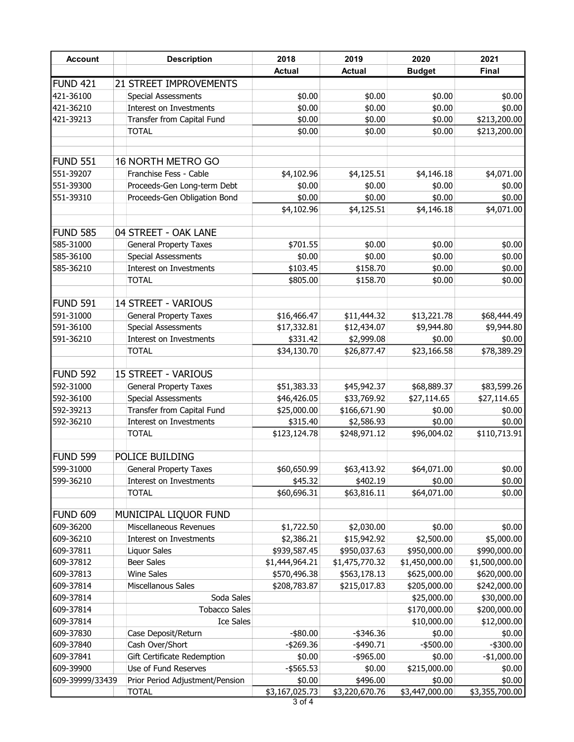| <b>Account</b>  | <b>Description</b>              | 2018           | 2019           | 2020           | 2021           |
|-----------------|---------------------------------|----------------|----------------|----------------|----------------|
|                 |                                 | <b>Actual</b>  | <b>Actual</b>  | <b>Budget</b>  | <b>Final</b>   |
| <b>FUND 421</b> | 21 STREET IMPROVEMENTS          |                |                |                |                |
| 421-36100       | <b>Special Assessments</b>      | \$0.00         | \$0.00         | \$0.00         | \$0.00         |
| 421-36210       | Interest on Investments         | \$0.00         | \$0.00         | \$0.00         | \$0.00         |
| 421-39213       | Transfer from Capital Fund      | \$0.00         | \$0.00         | \$0.00         | \$213,200.00   |
|                 | TOTAL                           | \$0.00         | \$0.00         | \$0.00         | \$213,200.00   |
| FUND 551        | 16 NORTH METRO GO               |                |                |                |                |
| 551-39207       | Franchise Fess - Cable          | \$4,102.96     | \$4,125.51     | \$4,146.18     | \$4,071.00     |
| 551-39300       | Proceeds-Gen Long-term Debt     | \$0.00         | \$0.00         | \$0.00         | \$0.00         |
| 551-39310       | Proceeds-Gen Obligation Bond    | \$0.00         | \$0.00         | \$0.00         | \$0.00         |
|                 |                                 | \$4,102.96     | \$4,125.51     | \$4,146.18     | \$4,071.00     |
| FUND 585        | 04 STREET - OAK LANE            |                |                |                |                |
| 585-31000       | <b>General Property Taxes</b>   | \$701.55       | \$0.00         | \$0.00         | \$0.00         |
| 585-36100       | <b>Special Assessments</b>      | \$0.00         | \$0.00         | \$0.00         | \$0.00         |
| 585-36210       | Interest on Investments         | \$103.45       | \$158.70       | \$0.00         | \$0.00         |
|                 | <b>TOTAL</b>                    | \$805.00       | \$158.70       | \$0.00         | \$0.00         |
| FUND 591        | <b>14 STREET - VARIOUS</b>      |                |                |                |                |
| 591-31000       | <b>General Property Taxes</b>   | \$16,466.47    | \$11,444.32    | \$13,221.78    | \$68,444.49    |
| 591-36100       | <b>Special Assessments</b>      | \$17,332.81    | \$12,434.07    | \$9,944.80     | \$9,944.80     |
| 591-36210       | Interest on Investments         | \$331.42       | \$2,999.08     | \$0.00         | \$0.00         |
|                 | <b>TOTAL</b>                    | \$34,130.70    | \$26,877.47    | \$23,166.58    | \$78,389.29    |
| FUND 592        | <b>15 STREET - VARIOUS</b>      |                |                |                |                |
| 592-31000       | <b>General Property Taxes</b>   | \$51,383.33    | \$45,942.37    | \$68,889.37    | \$83,599.26    |
| 592-36100       | <b>Special Assessments</b>      | \$46,426.05    | \$33,769.92    | \$27,114.65    | \$27,114.65    |
| 592-39213       | Transfer from Capital Fund      | \$25,000.00    | \$166,671.90   | \$0.00         | \$0.00         |
| 592-36210       | Interest on Investments         | \$315.40       | \$2,586.93     | \$0.00         | \$0.00         |
|                 | TOTAL                           | \$123,124.78   | \$248,971.12   | \$96,004.02    | \$110,713.91   |
| FUND 599        | POLICE BUILDING                 |                |                |                |                |
| 599-31000       | <b>General Property Taxes</b>   | \$60,650.99    | \$63,413.92    | \$64,071.00    | \$0.00]        |
| 599-36210       | Interest on Investments         | \$45.32        | \$402.19       | \$0.00         | \$0.00         |
|                 | <b>TOTAL</b>                    | \$60,696.31    | \$63,816.11    | \$64,071.00    | \$0.00         |
| FUND 609        | MUNICIPAL LIQUOR FUND           |                |                |                |                |
| 609-36200       | Miscellaneous Revenues          | \$1,722.50     | \$2,030.00     | \$0.00         | \$0.00         |
| 609-36210       | Interest on Investments         | \$2,386.21     | \$15,942.92    | \$2,500.00     | \$5,000.00     |
| 609-37811       | Liquor Sales                    | \$939,587.45   | \$950,037.63   | \$950,000.00   | \$990,000.00   |
| 609-37812       | Beer Sales                      | \$1,444,964.21 | \$1,475,770.32 | \$1,450,000.00 | \$1,500,000.00 |
| 609-37813       | Wine Sales                      | \$570,496.38   | \$563,178.13   | \$625,000.00   | \$620,000.00   |
| 609-37814       | Miscellanous Sales              | \$208,783.87   | \$215,017.83   | \$205,000.00   | \$242,000.00   |
| 609-37814       | Soda Sales                      |                |                | \$25,000.00    | \$30,000.00    |
| 609-37814       | <b>Tobacco Sales</b>            |                |                | \$170,000.00   | \$200,000.00   |
| 609-37814       | <b>Ice Sales</b>                |                |                | \$10,000.00    | \$12,000.00    |
| 609-37830       | Case Deposit/Return             | $-$ \$80.00    | $-$ \$346.36   | \$0.00         | \$0.00         |
| 609-37840       | Cash Over/Short                 | $-$ \$269.36   | $-$ \$490.71   | $-$ \$500.00   | $-$ \$300.00   |
| 609-37841       | Gift Certificate Redemption     | \$0.00         | -\$965.00      | \$0.00         | $-$1,000.00$   |
| 609-39900       | Use of Fund Reserves            | $-$ \$565.53   | \$0.00         | \$215,000.00   | \$0.00         |
| 609-39999/33439 | Prior Period Adjustment/Pension | \$0.00         | \$496.00       | \$0.00         | \$0.00         |
|                 | <b>TOTAL</b>                    | \$3,167,025.73 | \$3,220,670.76 | \$3,447,000.00 | \$3,355,700.00 |